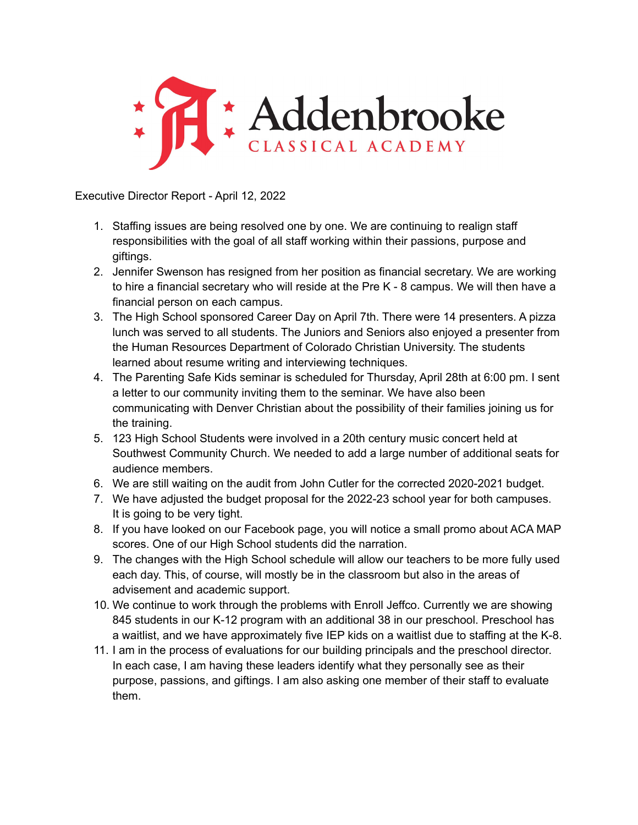

Executive Director Report - April 12, 2022

- 1. Staffing issues are being resolved one by one. We are continuing to realign staff responsibilities with the goal of all staff working within their passions, purpose and giftings.
- 2. Jennifer Swenson has resigned from her position as financial secretary. We are working to hire a financial secretary who will reside at the Pre K - 8 campus. We will then have a financial person on each campus.
- 3. The High School sponsored Career Day on April 7th. There were 14 presenters. A pizza lunch was served to all students. The Juniors and Seniors also enjoyed a presenter from the Human Resources Department of Colorado Christian University. The students learned about resume writing and interviewing techniques.
- 4. The Parenting Safe Kids seminar is scheduled for Thursday, April 28th at 6:00 pm. I sent a letter to our community inviting them to the seminar. We have also been communicating with Denver Christian about the possibility of their families joining us for the training.
- 5. 123 High School Students were involved in a 20th century music concert held at Southwest Community Church. We needed to add a large number of additional seats for audience members.
- 6. We are still waiting on the audit from John Cutler for the corrected 2020-2021 budget.
- 7. We have adjusted the budget proposal for the 2022-23 school year for both campuses. It is going to be very tight.
- 8. If you have looked on our Facebook page, you will notice a small promo about ACA MAP scores. One of our High School students did the narration.
- 9. The changes with the High School schedule will allow our teachers to be more fully used each day. This, of course, will mostly be in the classroom but also in the areas of advisement and academic support.
- 10. We continue to work through the problems with Enroll Jeffco. Currently we are showing 845 students in our K-12 program with an additional 38 in our preschool. Preschool has a waitlist, and we have approximately five IEP kids on a waitlist due to staffing at the K-8.
- 11. I am in the process of evaluations for our building principals and the preschool director. In each case, I am having these leaders identify what they personally see as their purpose, passions, and giftings. I am also asking one member of their staff to evaluate them.